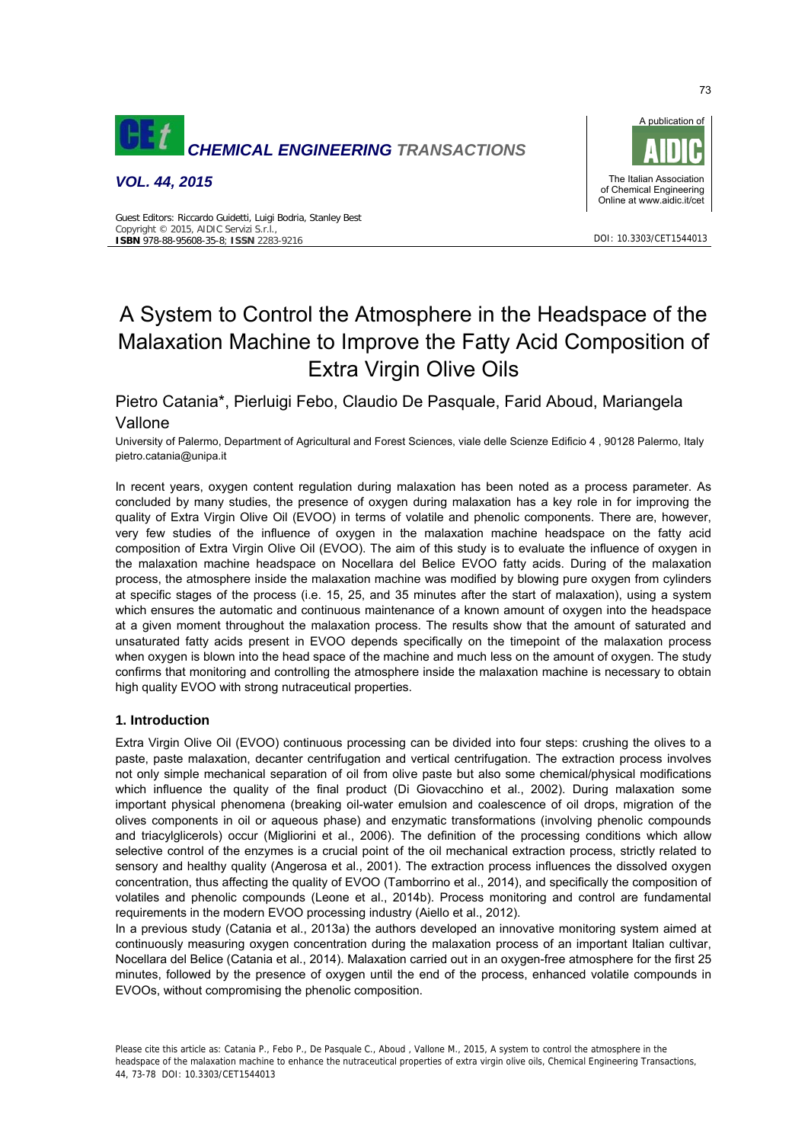

*VOL. 44, 2015*

Copyright © 2015, AIDIC Servizi S.r.l., **ISBN** 978-88-95608-35-8; **ISSN** 2283-9216

Guest Editors: Riccardo Guidetti, Luigi Bodria, Stanley Best



DOI: 10.3303/CET1544013

# A System to Control the Atmosphere in the Headspace of the Malaxation Machine to Improve the Fatty Acid Composition of

# Pietro Catania\*, Pierluigi Febo, Claudio De Pasquale, Farid Aboud, Mariangela Vallone

University of Palermo, Department of Agricultural and Forest Sciences, viale delle Scienze Edificio 4 , 90128 Palermo, Italy pietro.catania@unipa.it

Extra Virgin Olive Oils

In recent years, oxygen content regulation during malaxation has been noted as a process parameter. As concluded by many studies, the presence of oxygen during malaxation has a key role in for improving the quality of Extra Virgin Olive Oil (EVOO) in terms of volatile and phenolic components. There are, however, very few studies of the influence of oxygen in the malaxation machine headspace on the fatty acid composition of Extra Virgin Olive Oil (EVOO). The aim of this study is to evaluate the influence of oxygen in the malaxation machine headspace on Nocellara del Belice EVOO fatty acids. During of the malaxation process, the atmosphere inside the malaxation machine was modified by blowing pure oxygen from cylinders at specific stages of the process (i.e. 15, 25, and 35 minutes after the start of malaxation), using a system which ensures the automatic and continuous maintenance of a known amount of oxygen into the headspace at a given moment throughout the malaxation process. The results show that the amount of saturated and unsaturated fatty acids present in EVOO depends specifically on the timepoint of the malaxation process when oxygen is blown into the head space of the machine and much less on the amount of oxygen. The study confirms that monitoring and controlling the atmosphere inside the malaxation machine is necessary to obtain high quality EVOO with strong nutraceutical properties.

# **1. Introduction**

Extra Virgin Olive Oil (EVOO) continuous processing can be divided into four steps: crushing the olives to a paste, paste malaxation, decanter centrifugation and vertical centrifugation. The extraction process involves not only simple mechanical separation of oil from olive paste but also some chemical/physical modifications which influence the quality of the final product (Di Giovacchino et al., 2002). During malaxation some important physical phenomena (breaking oil-water emulsion and coalescence of oil drops, migration of the olives components in oil or aqueous phase) and enzymatic transformations (involving phenolic compounds and triacylglicerols) occur (Migliorini et al., 2006). The definition of the processing conditions which allow selective control of the enzymes is a crucial point of the oil mechanical extraction process, strictly related to sensory and healthy quality (Angerosa et al., 2001). The extraction process influences the dissolved oxygen concentration, thus affecting the quality of EVOO (Tamborrino et al., 2014), and specifically the composition of volatiles and phenolic compounds (Leone et al., 2014b). Process monitoring and control are fundamental requirements in the modern EVOO processing industry (Aiello et al., 2012).

In a previous study (Catania et al., 2013a) the authors developed an innovative monitoring system aimed at continuously measuring oxygen concentration during the malaxation process of an important Italian cultivar, Nocellara del Belice (Catania et al., 2014). Malaxation carried out in an oxygen-free atmosphere for the first 25 minutes, followed by the presence of oxygen until the end of the process, enhanced volatile compounds in EVOOs, without compromising the phenolic composition.

Please cite this article as: Catania P., Febo P., De Pasquale C., Aboud , Vallone M., 2015, A system to control the atmosphere in the headspace of the malaxation machine to enhance the nutraceutical properties of extra virgin olive oils, Chemical Engineering Transactions, 44, 73-78 DOI: 10.3303/CET1544013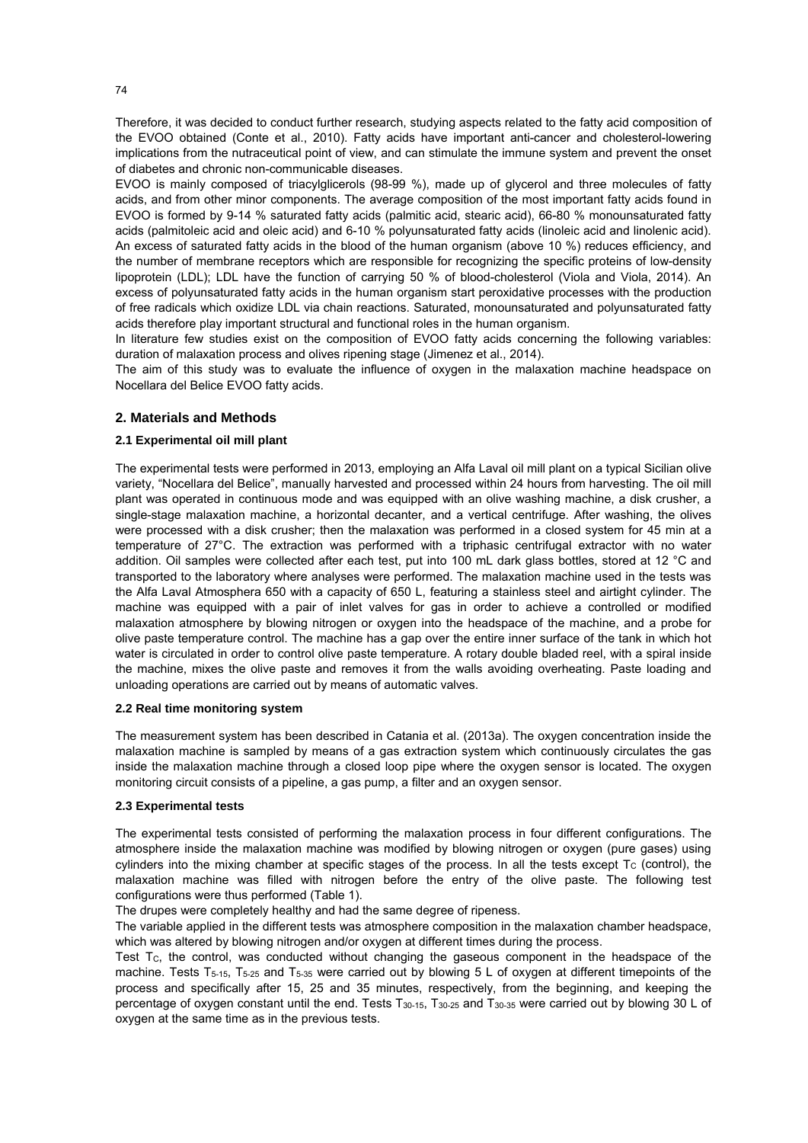Therefore, it was decided to conduct further research, studying aspects related to the fatty acid composition of the EVOO obtained (Conte et al., 2010). Fatty acids have important anti-cancer and cholesterol-lowering implications from the nutraceutical point of view, and can stimulate the immune system and prevent the onset of diabetes and chronic non-communicable diseases.

EVOO is mainly composed of triacylglicerols (98-99 %), made up of glycerol and three molecules of fatty acids, and from other minor components. The average composition of the most important fatty acids found in EVOO is formed by 9-14 % saturated fatty acids (palmitic acid, stearic acid), 66-80 % monounsaturated fatty acids (palmitoleic acid and oleic acid) and 6-10 % polyunsaturated fatty acids (linoleic acid and linolenic acid). An excess of saturated fatty acids in the blood of the human organism (above 10 %) reduces efficiency, and the number of membrane receptors which are responsible for recognizing the specific proteins of low-density lipoprotein (LDL); LDL have the function of carrying 50 % of blood-cholesterol (Viola and Viola, 2014). An excess of polyunsaturated fatty acids in the human organism start peroxidative processes with the production of free radicals which oxidize LDL via chain reactions. Saturated, monounsaturated and polyunsaturated fatty acids therefore play important structural and functional roles in the human organism.

In literature few studies exist on the composition of EVOO fatty acids concerning the following variables: duration of malaxation process and olives ripening stage (Jimenez et al., 2014).

The aim of this study was to evaluate the influence of oxygen in the malaxation machine headspace on Nocellara del Belice EVOO fatty acids.

#### **2. Materials and Methods**

### **2.1 Experimental oil mill plant**

The experimental tests were performed in 2013, employing an Alfa Laval oil mill plant on a typical Sicilian olive variety, "Nocellara del Belice", manually harvested and processed within 24 hours from harvesting. The oil mill plant was operated in continuous mode and was equipped with an olive washing machine, a disk crusher, a single-stage malaxation machine, a horizontal decanter, and a vertical centrifuge. After washing, the olives were processed with a disk crusher; then the malaxation was performed in a closed system for 45 min at a temperature of 27°C. The extraction was performed with a triphasic centrifugal extractor with no water addition. Oil samples were collected after each test, put into 100 mL dark glass bottles, stored at 12 °C and transported to the laboratory where analyses were performed. The malaxation machine used in the tests was the Alfa Laval Atmosphera 650 with a capacity of 650 L, featuring a stainless steel and airtight cylinder. The machine was equipped with a pair of inlet valves for gas in order to achieve a controlled or modified malaxation atmosphere by blowing nitrogen or oxygen into the headspace of the machine, and a probe for olive paste temperature control. The machine has a gap over the entire inner surface of the tank in which hot water is circulated in order to control olive paste temperature. A rotary double bladed reel, with a spiral inside the machine, mixes the olive paste and removes it from the walls avoiding overheating. Paste loading and unloading operations are carried out by means of automatic valves.

#### **2.2 Real time monitoring system**

The measurement system has been described in Catania et al. (2013a). The oxygen concentration inside the malaxation machine is sampled by means of a gas extraction system which continuously circulates the gas inside the malaxation machine through a closed loop pipe where the oxygen sensor is located. The oxygen monitoring circuit consists of a pipeline, a gas pump, a filter and an oxygen sensor.

### **2.3 Experimental tests**

The experimental tests consisted of performing the malaxation process in four different configurations. The atmosphere inside the malaxation machine was modified by blowing nitrogen or oxygen (pure gases) using cylinders into the mixing chamber at specific stages of the process. In all the tests except  $T_c$  (control), the malaxation machine was filled with nitrogen before the entry of the olive paste. The following test configurations were thus performed (Table 1).

The drupes were completely healthy and had the same degree of ripeness.

The variable applied in the different tests was atmosphere composition in the malaxation chamber headspace, which was altered by blowing nitrogen and/or oxygen at different times during the process.

Test Tc, the control, was conducted without changing the gaseous component in the headspace of the machine. Tests T<sub>5-15</sub>, T<sub>5-25</sub> and T<sub>5-35</sub> were carried out by blowing 5 L of oxygen at different timepoints of the process and specifically after 15, 25 and 35 minutes, respectively, from the beginning, and keeping the percentage of oxygen constant until the end. Tests  $T_{30-15}$ ,  $T_{30-25}$  and  $T_{30-35}$  were carried out by blowing 30 L of oxygen at the same time as in the previous tests.

74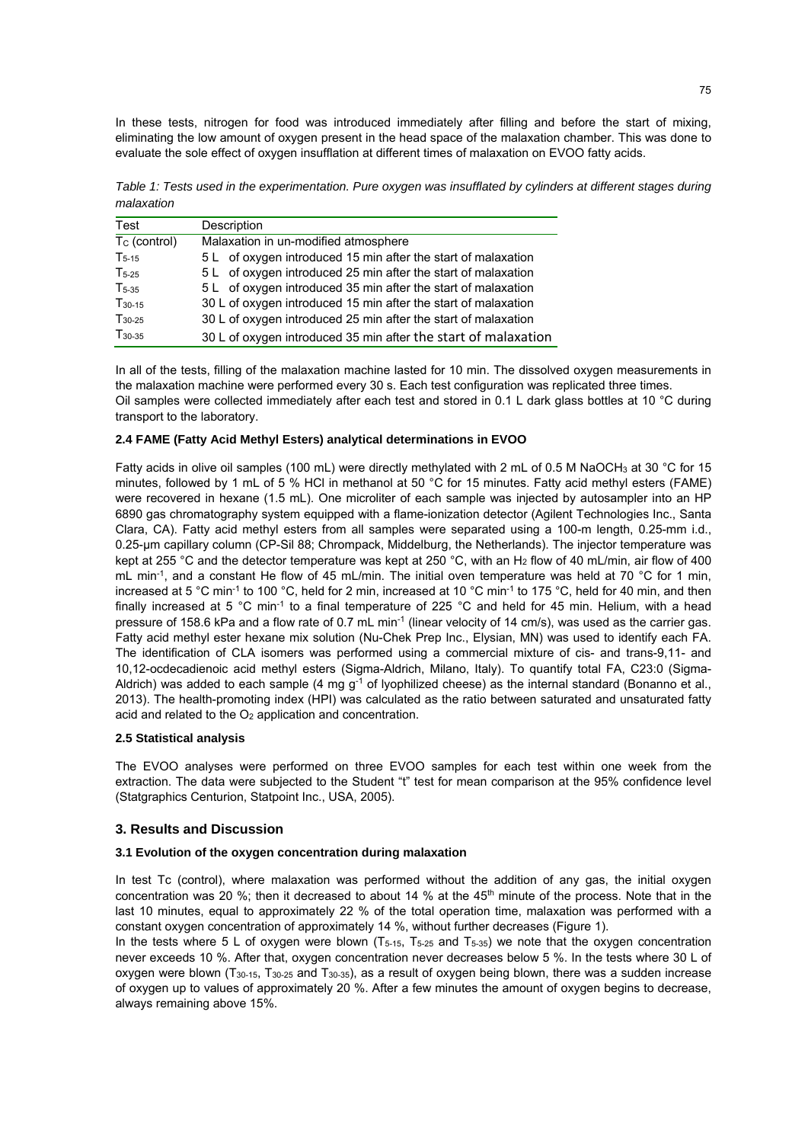In these tests, nitrogen for food was introduced immediately after filling and before the start of mixing, eliminating the low amount of oxygen present in the head space of the malaxation chamber. This was done to evaluate the sole effect of oxygen insufflation at different times of malaxation on EVOO fatty acids.

*Table 1: Tests used in the experimentation. Pure oxygen was insufflated by cylinders at different stages during malaxation* 

| Test               | Description                                                    |
|--------------------|----------------------------------------------------------------|
| $T_c$ (control)    | Malaxation in un-modified atmosphere                           |
| $T_{5-15}$         | 5 L of oxygen introduced 15 min after the start of malaxation  |
| $T5-25$            | 5 L of oxygen introduced 25 min after the start of malaxation  |
| $T_{5-35}$         | 5 L of oxygen introduced 35 min after the start of malaxation  |
| T <sub>30-15</sub> | 30 L of oxygen introduced 15 min after the start of malaxation |
| $T_{30-25}$        | 30 L of oxygen introduced 25 min after the start of malaxation |
| $T_{30-35}$        | 30 L of oxygen introduced 35 min after the start of malaxation |

In all of the tests, filling of the malaxation machine lasted for 10 min. The dissolved oxygen measurements in the malaxation machine were performed every 30 s. Each test configuration was replicated three times. Oil samples were collected immediately after each test and stored in 0.1 L dark glass bottles at 10 °C during transport to the laboratory.

### **2.4 FAME (Fatty Acid Methyl Esters) analytical determinations in EVOO**

Fatty acids in olive oil samples (100 mL) were directly methylated with 2 mL of 0.5 M NaOCH<sub>3</sub> at 30 °C for 15 minutes, followed by 1 mL of 5 % HCl in methanol at 50 °C for 15 minutes. Fatty acid methyl esters (FAME) were recovered in hexane (1.5 mL). One microliter of each sample was injected by autosampler into an HP 6890 gas chromatography system equipped with a flame-ionization detector (Agilent Technologies Inc., Santa Clara, CA). Fatty acid methyl esters from all samples were separated using a 100-m length, 0.25-mm i.d., 0.25-μm capillary column (CP-Sil 88; Chrompack, Middelburg, the Netherlands). The injector temperature was kept at 255 °C and the detector temperature was kept at 250 °C, with an H<sub>2</sub> flow of 40 mL/min, air flow of 400 mL min<sup>-1</sup>, and a constant He flow of 45 mL/min. The initial oven temperature was held at 70 °C for 1 min. increased at 5 °C min<sup>-1</sup> to 100 °C, held for 2 min, increased at 10 °C min<sup>-1</sup> to 175 °C, held for 40 min, and then finally increased at 5 °C min<sup>-1</sup> to a final temperature of 225 °C and held for 45 min. Helium, with a head pressure of 158.6 kPa and a flow rate of 0.7 mL min<sup>-1</sup> (linear velocity of 14 cm/s), was used as the carrier gas. Fatty acid methyl ester hexane mix solution (Nu-Chek Prep Inc., Elysian, MN) was used to identify each FA. The identification of CLA isomers was performed using a commercial mixture of cis- and trans-9,11- and 10,12-ocdecadienoic acid methyl esters (Sigma-Aldrich, Milano, Italy). To quantify total FA, C23:0 (Sigma-Aldrich) was added to each sample (4 mg  $g^{-1}$  of lyophilized cheese) as the internal standard (Bonanno et al., 2013). The health-promoting index (HPI) was calculated as the ratio between saturated and unsaturated fatty acid and related to the O<sub>2</sub> application and concentration.

# **2.5 Statistical analysis**

The EVOO analyses were performed on three EVOO samples for each test within one week from the extraction. The data were subjected to the Student "t" test for mean comparison at the 95% confidence level (Statgraphics Centurion, Statpoint Inc., USA, 2005).

# **3. Results and Discussion**

# **3.1 Evolution of the oxygen concentration during malaxation**

In test Tc (control), where malaxation was performed without the addition of any gas, the initial oxygen concentration was 20 %; then it decreased to about 14 % at the  $45<sup>th</sup>$  minute of the process. Note that in the last 10 minutes, equal to approximately 22 % of the total operation time, malaxation was performed with a constant oxygen concentration of approximately 14 %, without further decreases (Figure 1).

In the tests where 5 L of oxygen were blown  $(T_{5-15}, T_{5-25}$  and  $T_{5-35})$  we note that the oxygen concentration never exceeds 10 %. After that, oxygen concentration never decreases below 5 %. In the tests where 30 L of oxygen were blown (T30-15, T30-25 and T30-35), as a result of oxygen being blown, there was a sudden increase of oxygen up to values of approximately 20 %. After a few minutes the amount of oxygen begins to decrease, always remaining above 15%.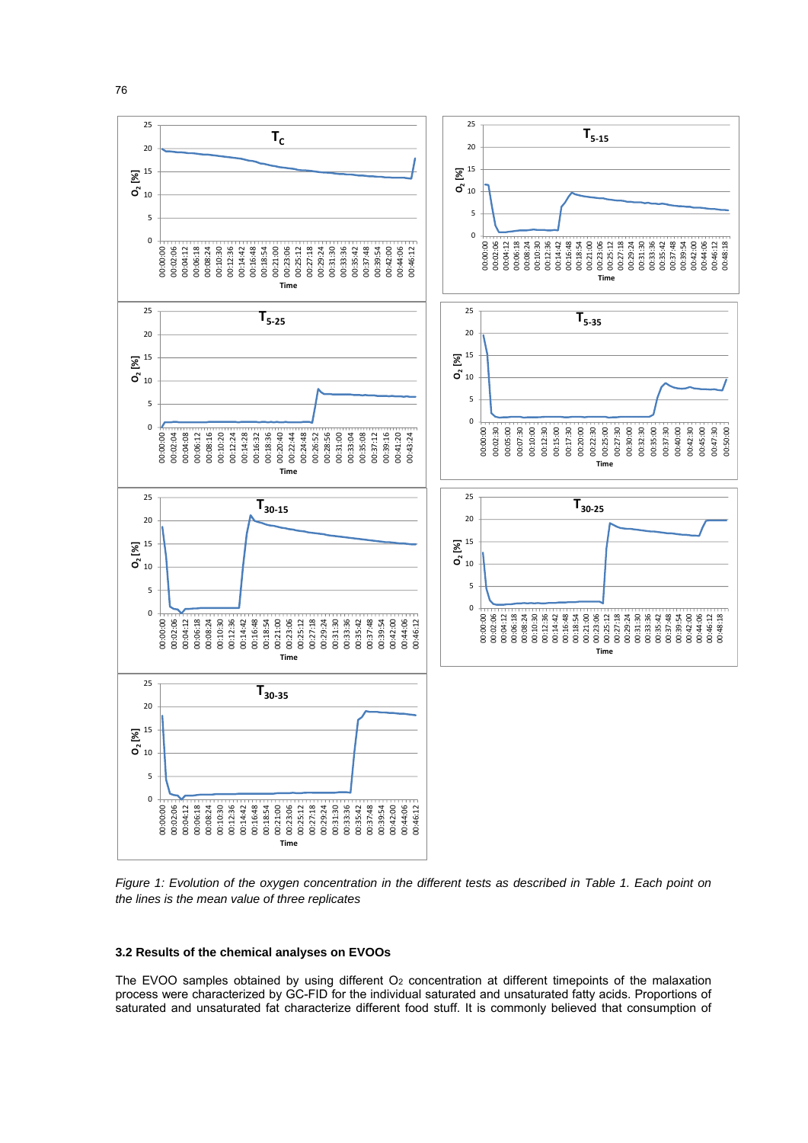

*Figure 1: Evolution of the oxygen concentration in the different tests as described in Table 1. Each point on the lines is the mean value of three replicates* 

#### **3.2 Results of the chemical analyses on EVOOs**

The EVOO samples obtained by using different  $O<sub>2</sub>$  concentration at different timepoints of the malaxation process were characterized by GC-FID for the individual saturated and unsaturated fatty acids. Proportions of saturated and unsaturated fat characterize different food stuff. It is commonly believed that consumption of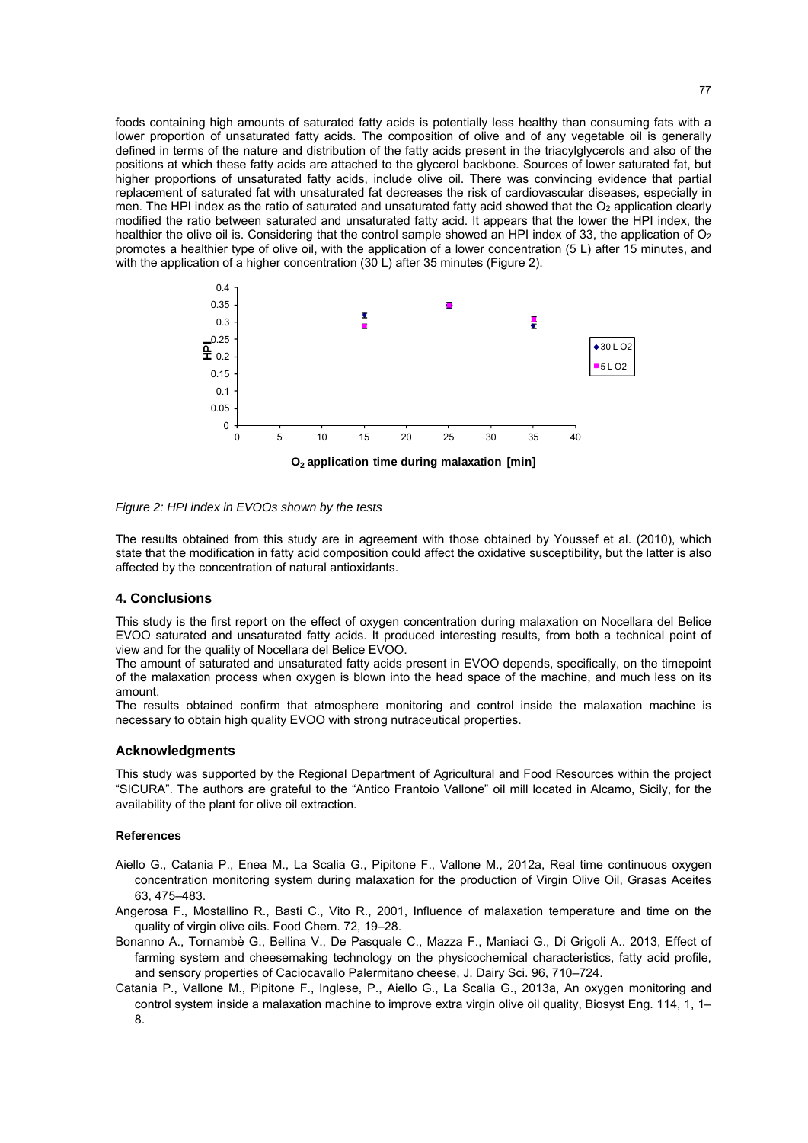foods containing high amounts of saturated fatty acids is potentially less healthy than consuming fats with a lower proportion of unsaturated fatty acids. The composition of olive and of any vegetable oil is generally defined in terms of the nature and distribution of the fatty acids present in the triacylglycerols and also of the positions at which these fatty acids are attached to the glycerol backbone. Sources of lower saturated fat, but higher proportions of unsaturated fatty acids, include olive oil. There was convincing evidence that partial replacement of saturated fat with unsaturated fat decreases the risk of cardiovascular diseases, especially in men. The HPI index as the ratio of saturated and unsaturated fatty acid showed that the  $O<sub>2</sub>$  application clearly modified the ratio between saturated and unsaturated fatty acid. It appears that the lower the HPI index, the healthier the olive oil is. Considering that the control sample showed an HPI index of 33, the application of  $O<sub>2</sub>$ promotes a healthier type of olive oil, with the application of a lower concentration (5 L) after 15 minutes, and with the application of a higher concentration (30 L) after 35 minutes (Figure 2).



*Figure 2: HPI index in EVOOs shown by the tests* 

The results obtained from this study are in agreement with those obtained by Youssef et al. (2010), which state that the modification in fatty acid composition could affect the oxidative susceptibility, but the latter is also affected by the concentration of natural antioxidants.

#### **4. Conclusions**

This study is the first report on the effect of oxygen concentration during malaxation on Nocellara del Belice EVOO saturated and unsaturated fatty acids. It produced interesting results, from both a technical point of view and for the quality of Nocellara del Belice EVOO.

The amount of saturated and unsaturated fatty acids present in EVOO depends, specifically, on the timepoint of the malaxation process when oxygen is blown into the head space of the machine, and much less on its amount.

The results obtained confirm that atmosphere monitoring and control inside the malaxation machine is necessary to obtain high quality EVOO with strong nutraceutical properties.

#### **Acknowledgments**

This study was supported by the Regional Department of Agricultural and Food Resources within the project "SICURA". The authors are grateful to the "Antico Frantoio Vallone" oil mill located in Alcamo, Sicily, for the availability of the plant for olive oil extraction.

#### **References**

- Aiello G., Catania P., Enea M., La Scalia G., Pipitone F., Vallone M., 2012a, Real time continuous oxygen concentration monitoring system during malaxation for the production of Virgin Olive Oil, Grasas Aceites 63, 475–483.
- Angerosa F., Mostallino R., Basti C., Vito R., 2001, Influence of malaxation temperature and time on the quality of virgin olive oils. Food Chem. 72, 19–28.
- Bonanno A., Tornambè G., Bellina V., De Pasquale C., Mazza F., Maniaci G., Di Grigoli A.. 2013, Effect of farming system and cheesemaking technology on the physicochemical characteristics, fatty acid profile, and sensory properties of Caciocavallo Palermitano cheese, J. Dairy Sci. 96, 710–724.
- Catania P., Vallone M., Pipitone F., Inglese, P., Aiello G., La Scalia G., 2013a, An oxygen monitoring and control system inside a malaxation machine to improve extra virgin olive oil quality. Biosyst Eng. 114, 1, 1– 8.